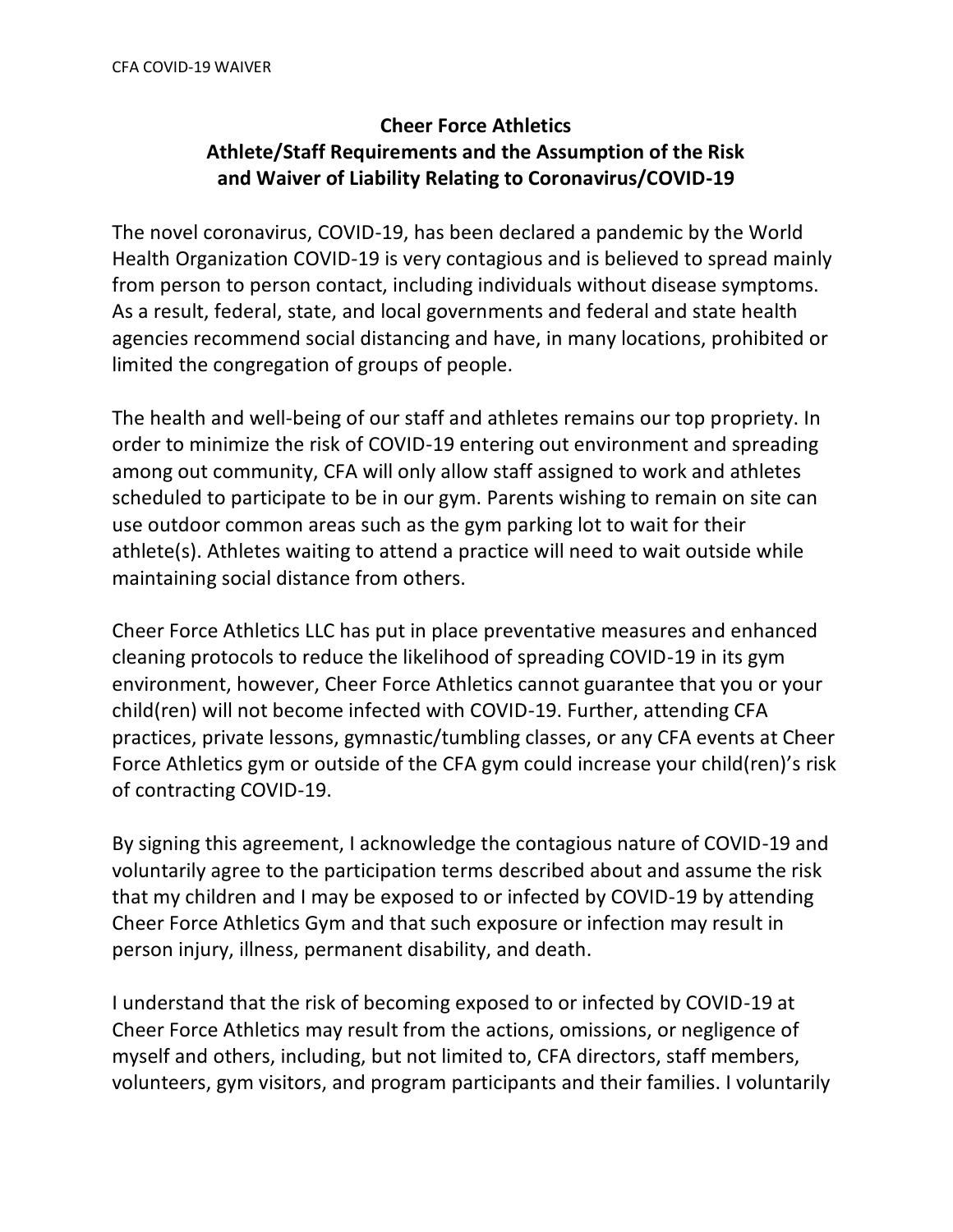## **Cheer Force Athletics Athlete/Staff Requirements and the Assumption of the Risk and Waiver of Liability Relating to Coronavirus/COVID-19**

The novel coronavirus, COVID-19, has been declared a pandemic by the World Health Organization COVID-19 is very contagious and is believed to spread mainly from person to person contact, including individuals without disease symptoms. As a result, federal, state, and local governments and federal and state health agencies recommend social distancing and have, in many locations, prohibited or limited the congregation of groups of people.

The health and well-being of our staff and athletes remains our top propriety. In order to minimize the risk of COVID-19 entering out environment and spreading among out community, CFA will only allow staff assigned to work and athletes scheduled to participate to be in our gym. Parents wishing to remain on site can use outdoor common areas such as the gym parking lot to wait for their athlete(s). Athletes waiting to attend a practice will need to wait outside while maintaining social distance from others.

Cheer Force Athletics LLC has put in place preventative measures and enhanced cleaning protocols to reduce the likelihood of spreading COVID-19 in its gym environment, however, Cheer Force Athletics cannot guarantee that you or your child(ren) will not become infected with COVID-19. Further, attending CFA practices, private lessons, gymnastic/tumbling classes, or any CFA events at Cheer Force Athletics gym or outside of the CFA gym could increase your child(ren)'s risk of contracting COVID-19.

By signing this agreement, I acknowledge the contagious nature of COVID-19 and voluntarily agree to the participation terms described about and assume the risk that my children and I may be exposed to or infected by COVID-19 by attending Cheer Force Athletics Gym and that such exposure or infection may result in person injury, illness, permanent disability, and death.

I understand that the risk of becoming exposed to or infected by COVID-19 at Cheer Force Athletics may result from the actions, omissions, or negligence of myself and others, including, but not limited to, CFA directors, staff members, volunteers, gym visitors, and program participants and their families. I voluntarily